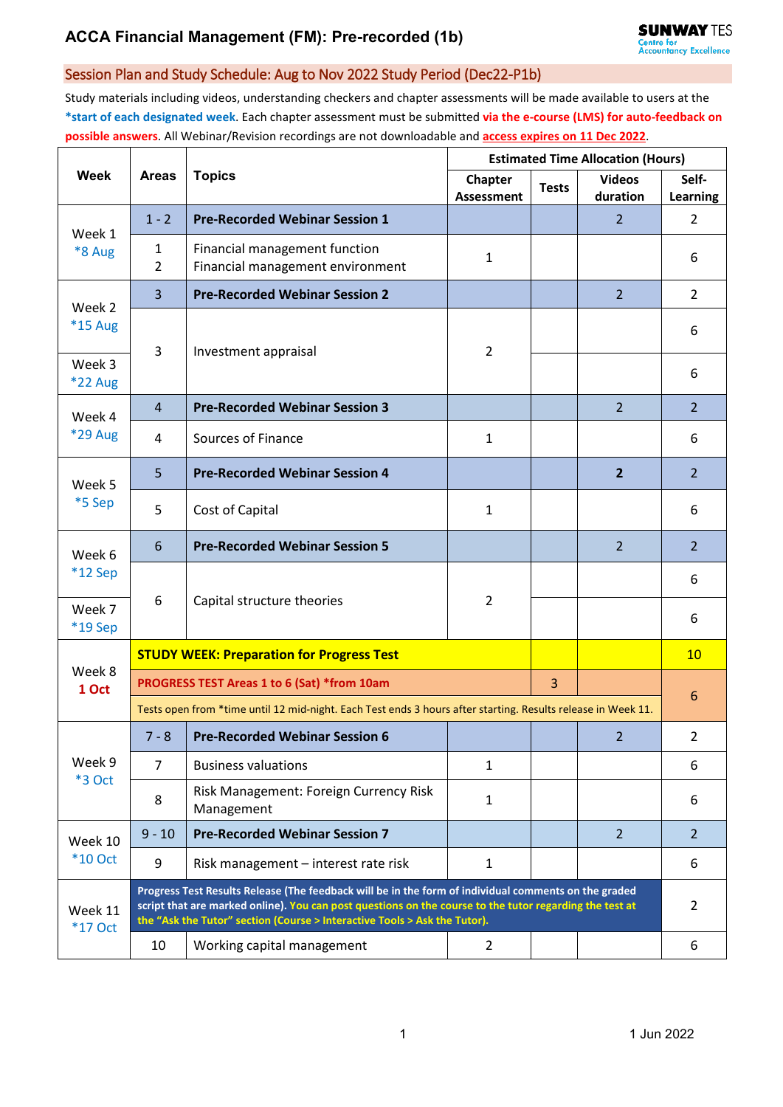# **ACCA Financial Management (FM): Pre-recorded (1b)**

### Session Plan and Study Schedule: Aug to Nov 2022 Study Period (Dec22-P1b)

Study materials including videos, understanding checkers and chapter assessments will be made available to users at the **\*start of each designated week**. Each chapter assessment must be submitted **via the e-course (LMS) for auto-feedback on possible answers**. All Webinar/Revision recordings are not downloadable and **access expires on 11 Dec 2022**.

| Week                      | <b>Areas</b>                                                                                                                                                                                                                                                                                 | <b>Topics</b>                                                     | <b>Estimated Time Allocation (Hours)</b> |              |                           |                   |  |
|---------------------------|----------------------------------------------------------------------------------------------------------------------------------------------------------------------------------------------------------------------------------------------------------------------------------------------|-------------------------------------------------------------------|------------------------------------------|--------------|---------------------------|-------------------|--|
|                           |                                                                                                                                                                                                                                                                                              |                                                                   | Chapter<br><b>Assessment</b>             | <b>Tests</b> | <b>Videos</b><br>duration | Self-<br>Learning |  |
| Week 1<br>*8 Aug          | $1 - 2$                                                                                                                                                                                                                                                                                      | <b>Pre-Recorded Webinar Session 1</b>                             |                                          |              | $\overline{2}$            | $\overline{2}$    |  |
|                           | 1<br>$\overline{2}$                                                                                                                                                                                                                                                                          | Financial management function<br>Financial management environment | 1                                        |              |                           | 6                 |  |
| Week 2<br>*15 Aug         | 3                                                                                                                                                                                                                                                                                            | <b>Pre-Recorded Webinar Session 2</b>                             |                                          |              | $\overline{2}$            | $\overline{2}$    |  |
|                           | 3                                                                                                                                                                                                                                                                                            | Investment appraisal                                              | $\overline{2}$                           |              |                           | 6                 |  |
| Week 3<br><b>*22 Aug</b>  |                                                                                                                                                                                                                                                                                              |                                                                   |                                          |              |                           | 6                 |  |
| Week 4<br><b>*29 Aug</b>  | $\overline{4}$                                                                                                                                                                                                                                                                               | <b>Pre-Recorded Webinar Session 3</b>                             |                                          |              | $\overline{2}$            | $\overline{2}$    |  |
|                           | 4                                                                                                                                                                                                                                                                                            | Sources of Finance                                                | $\mathbf{1}$                             |              |                           | 6                 |  |
| Week 5<br>*5 Sep          | 5                                                                                                                                                                                                                                                                                            | <b>Pre-Recorded Webinar Session 4</b>                             |                                          |              | $\overline{2}$            | $\overline{2}$    |  |
|                           | 5                                                                                                                                                                                                                                                                                            | Cost of Capital                                                   | $\mathbf{1}$                             |              |                           | 6                 |  |
| Week 6<br>*12 Sep         | 6                                                                                                                                                                                                                                                                                            | <b>Pre-Recorded Webinar Session 5</b>                             |                                          |              | 2                         | $\overline{2}$    |  |
|                           |                                                                                                                                                                                                                                                                                              |                                                                   |                                          |              |                           | 6                 |  |
| Week 7<br>*19 Sep         | 6                                                                                                                                                                                                                                                                                            | Capital structure theories                                        | $\overline{2}$                           |              |                           | 6                 |  |
| Week 8<br>1 Oct           | <b>STUDY WEEK: Preparation for Progress Test</b>                                                                                                                                                                                                                                             |                                                                   |                                          |              |                           |                   |  |
|                           | PROGRESS TEST Areas 1 to 6 (Sat) *from 10am                                                                                                                                                                                                                                                  |                                                                   |                                          |              |                           | 6                 |  |
|                           | Tests open from *time until 12 mid-night. Each Test ends 3 hours after starting. Results release in Week 11.                                                                                                                                                                                 |                                                                   |                                          |              |                           |                   |  |
| Week 9<br>*3 Oct          | $7 - 8$                                                                                                                                                                                                                                                                                      | <b>Pre-Recorded Webinar Session 6</b>                             |                                          |              | $\overline{2}$            | $\overline{2}$    |  |
|                           | $\overline{7}$                                                                                                                                                                                                                                                                               | <b>Business valuations</b>                                        | $\mathbf{1}$                             |              |                           | 6                 |  |
|                           | $\,8\,$                                                                                                                                                                                                                                                                                      | Risk Management: Foreign Currency Risk<br>Management              | $\mathbf{1}$                             |              |                           | 6                 |  |
| Week 10<br><b>*10 Oct</b> | $9 - 10$                                                                                                                                                                                                                                                                                     | <b>Pre-Recorded Webinar Session 7</b>                             |                                          |              | $\overline{2}$            | $\overline{2}$    |  |
|                           | 9                                                                                                                                                                                                                                                                                            | Risk management - interest rate risk                              | $\mathbf{1}$                             |              |                           | 6                 |  |
| Week 11<br><b>*17 Oct</b> | Progress Test Results Release (The feedback will be in the form of individual comments on the graded<br>script that are marked online). You can post questions on the course to the tutor regarding the test at<br>the "Ask the Tutor" section (Course > Interactive Tools > Ask the Tutor). |                                                                   |                                          |              |                           |                   |  |
|                           | 10                                                                                                                                                                                                                                                                                           | Working capital management                                        | $\overline{2}$                           |              |                           | 6                 |  |